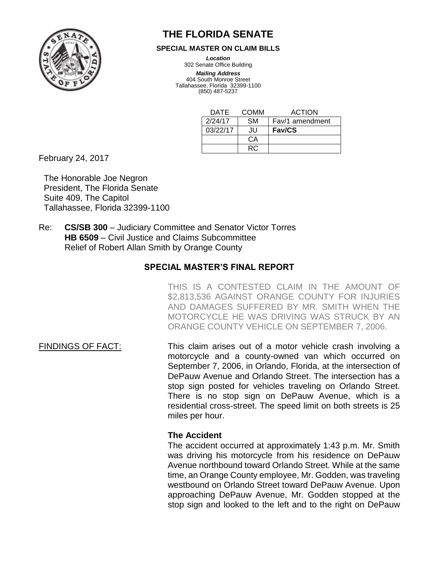

# **THE FLORIDA SENATE**

#### **SPECIAL MASTER ON CLAIM BILLS**

*Location*

302 Senate Office Building *Mailing Address*

404 South Monroe Street Tallahassee, Florida 32399-1100 (850) 487-5237

| <b>DATE</b> | COMM      | <b>ACTION</b>   |
|-------------|-----------|-----------------|
| 2/24/17     | <b>SM</b> | Fav/1 amendment |
| 03/22/17    | JU.       | <b>Fav/CS</b>   |
|             | CА        |                 |
|             | RC.       |                 |

February 24, 2017

The Honorable Joe Negron President, The Florida Senate Suite 409, The Capitol Tallahassee, Florida 32399-1100

Re: **CS/SB 300** – Judiciary Committee and Senator Victor Torres **HB 6509** – Civil Justice and Claims Subcommittee Relief of Robert Allan Smith by Orange County

# **SPECIAL MASTER'S FINAL REPORT**

THIS IS A CONTESTED CLAIM IN THE AMOUNT OF \$2,813,536 AGAINST ORANGE COUNTY FOR INJURIES AND DAMAGES SUFFERED BY MR. SMITH WHEN THE MOTORCYCLE HE WAS DRIVING WAS STRUCK BY AN ORANGE COUNTY VEHICLE ON SEPTEMBER 7, 2006.

FINDINGS OF FACT: This claim arises out of a motor vehicle crash involving a motorcycle and a county-owned van which occurred on September 7, 2006, in Orlando, Florida, at the intersection of DePauw Avenue and Orlando Street. The intersection has a stop sign posted for vehicles traveling on Orlando Street. There is no stop sign on DePauw Avenue, which is a residential cross-street. The speed limit on both streets is 25 miles per hour.

# **The Accident**

The accident occurred at approximately 1:43 p.m. Mr. Smith was driving his motorcycle from his residence on DePauw Avenue northbound toward Orlando Street. While at the same time, an Orange County employee, Mr. Godden, was traveling westbound on Orlando Street toward DePauw Avenue. Upon approaching DePauw Avenue, Mr. Godden stopped at the stop sign and looked to the left and to the right on DePauw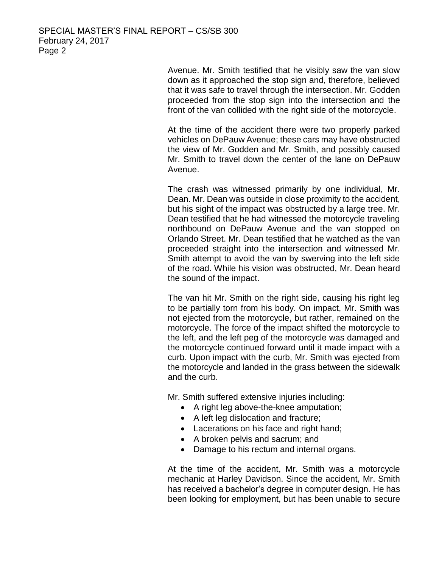Avenue. Mr. Smith testified that he visibly saw the van slow down as it approached the stop sign and, therefore, believed that it was safe to travel through the intersection. Mr. Godden proceeded from the stop sign into the intersection and the front of the van collided with the right side of the motorcycle.

At the time of the accident there were two properly parked vehicles on DePauw Avenue; these cars may have obstructed the view of Mr. Godden and Mr. Smith, and possibly caused Mr. Smith to travel down the center of the lane on DePauw Avenue.

The crash was witnessed primarily by one individual, Mr. Dean. Mr. Dean was outside in close proximity to the accident, but his sight of the impact was obstructed by a large tree. Mr. Dean testified that he had witnessed the motorcycle traveling northbound on DePauw Avenue and the van stopped on Orlando Street. Mr. Dean testified that he watched as the van proceeded straight into the intersection and witnessed Mr. Smith attempt to avoid the van by swerving into the left side of the road. While his vision was obstructed, Mr. Dean heard the sound of the impact.

The van hit Mr. Smith on the right side, causing his right leg to be partially torn from his body. On impact, Mr. Smith was not ejected from the motorcycle, but rather, remained on the motorcycle. The force of the impact shifted the motorcycle to the left, and the left peg of the motorcycle was damaged and the motorcycle continued forward until it made impact with a curb. Upon impact with the curb, Mr. Smith was ejected from the motorcycle and landed in the grass between the sidewalk and the curb.

Mr. Smith suffered extensive injuries including:

- A right leg above-the-knee amputation;
- A left leg dislocation and fracture;
- Lacerations on his face and right hand;
- A broken pelvis and sacrum; and
- Damage to his rectum and internal organs.

At the time of the accident, Mr. Smith was a motorcycle mechanic at Harley Davidson. Since the accident, Mr. Smith has received a bachelor's degree in computer design. He has been looking for employment, but has been unable to secure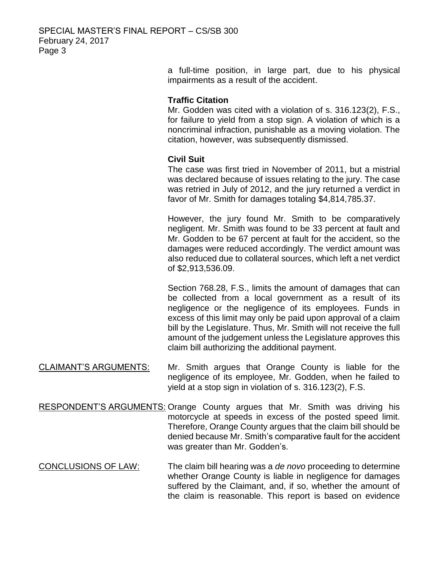a full-time position, in large part, due to his physical impairments as a result of the accident.

## **Traffic Citation**

Mr. Godden was cited with a violation of s. 316.123(2), F.S., for failure to yield from a stop sign. A violation of which is a noncriminal infraction, punishable as a moving violation. The citation, however, was subsequently dismissed.

## **Civil Suit**

The case was first tried in November of 2011, but a mistrial was declared because of issues relating to the jury. The case was retried in July of 2012, and the jury returned a verdict in favor of Mr. Smith for damages totaling \$4,814,785.37.

However, the jury found Mr. Smith to be comparatively negligent. Mr. Smith was found to be 33 percent at fault and Mr. Godden to be 67 percent at fault for the accident, so the damages were reduced accordingly. The verdict amount was also reduced due to collateral sources, which left a net verdict of \$2,913,536.09.

Section 768.28, F.S., limits the amount of damages that can be collected from a local government as a result of its negligence or the negligence of its employees. Funds in excess of this limit may only be paid upon approval of a claim bill by the Legislature. Thus, Mr. Smith will not receive the full amount of the judgement unless the Legislature approves this claim bill authorizing the additional payment.

- CLAIMANT'S ARGUMENTS: Mr. Smith argues that Orange County is liable for the negligence of its employee, Mr. Godden, when he failed to yield at a stop sign in violation of s. 316.123(2), F.S.
- RESPONDENT'S ARGUMENTS: Orange County argues that Mr. Smith was driving his motorcycle at speeds in excess of the posted speed limit. Therefore, Orange County argues that the claim bill should be denied because Mr. Smith's comparative fault for the accident was greater than Mr. Godden's.
- CONCLUSIONS OF LAW: The claim bill hearing was a *de novo* proceeding to determine whether Orange County is liable in negligence for damages suffered by the Claimant, and, if so, whether the amount of the claim is reasonable. This report is based on evidence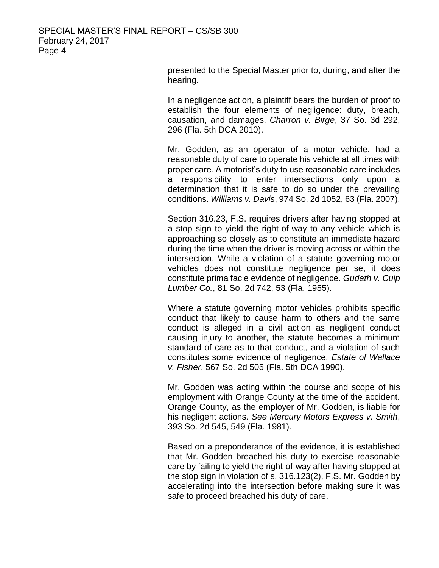presented to the Special Master prior to, during, and after the hearing.

In a negligence action, a plaintiff bears the burden of proof to establish the four elements of negligence: duty, breach, causation, and damages. *Charron v. Birge*, 37 So. 3d 292, 296 (Fla. 5th DCA 2010).

Mr. Godden, as an operator of a motor vehicle, had a reasonable duty of care to operate his vehicle at all times with proper care. A motorist's duty to use reasonable care includes a responsibility to enter intersections only upon a determination that it is safe to do so under the prevailing conditions. *Williams v. Davis*, 974 So. 2d 1052, 63 (Fla. 2007).

Section 316.23, F.S. requires drivers after having stopped at a stop sign to yield the right-of-way to any vehicle which is approaching so closely as to constitute an immediate hazard during the time when the driver is moving across or within the intersection. While a violation of a statute governing motor vehicles does not constitute negligence per se, it does constitute prima facie evidence of negligence. *Gudath v. Culp Lumber Co.*, 81 So. 2d 742, 53 (Fla. 1955).

Where a statute governing motor vehicles prohibits specific conduct that likely to cause harm to others and the same conduct is alleged in a civil action as negligent conduct causing injury to another, the statute becomes a minimum standard of care as to that conduct, and a violation of such constitutes some evidence of negligence. *Estate of Wallace v. Fisher*, 567 So. 2d 505 (Fla. 5th DCA 1990).

Mr. Godden was acting within the course and scope of his employment with Orange County at the time of the accident. Orange County, as the employer of Mr. Godden, is liable for his negligent actions. *See Mercury Motors Express v. Smith*, 393 So. 2d 545, 549 (Fla. 1981).

Based on a preponderance of the evidence, it is established that Mr. Godden breached his duty to exercise reasonable care by failing to yield the right-of-way after having stopped at the stop sign in violation of s. 316.123(2), F.S. Mr. Godden by accelerating into the intersection before making sure it was safe to proceed breached his duty of care.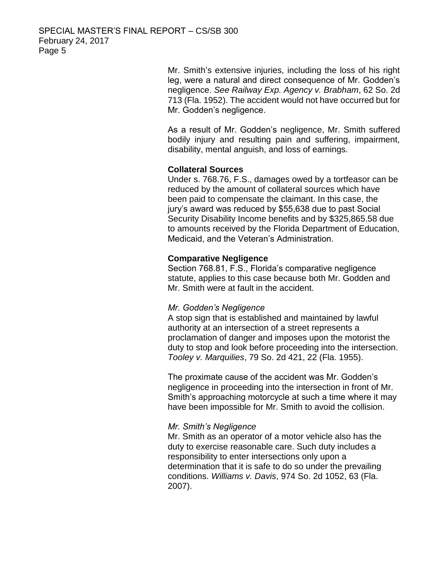Mr. Smith's extensive injuries, including the loss of his right leg, were a natural and direct consequence of Mr. Godden's negligence. *See Railway Exp. Agency v. Brabham*, 62 So. 2d 713 (Fla. 1952). The accident would not have occurred but for Mr. Godden's negligence.

As a result of Mr. Godden's negligence, Mr. Smith suffered bodily injury and resulting pain and suffering, impairment, disability, mental anguish, and loss of earnings.

## **Collateral Sources**

Under s. 768.76, F.S., damages owed by a tortfeasor can be reduced by the amount of collateral sources which have been paid to compensate the claimant. In this case, the jury's award was reduced by \$55,638 due to past Social Security Disability Income benefits and by \$325,865.58 due to amounts received by the Florida Department of Education, Medicaid, and the Veteran's Administration.

## **Comparative Negligence**

Section 768.81, F.S., Florida's comparative negligence statute, applies to this case because both Mr. Godden and Mr. Smith were at fault in the accident.

#### *Mr. Godden's Negligence*

A stop sign that is established and maintained by lawful authority at an intersection of a street represents a proclamation of danger and imposes upon the motorist the duty to stop and look before proceeding into the intersection. *Tooley v. Marquilies*, 79 So. 2d 421, 22 (Fla. 1955).

The proximate cause of the accident was Mr. Godden's negligence in proceeding into the intersection in front of Mr. Smith's approaching motorcycle at such a time where it may have been impossible for Mr. Smith to avoid the collision.

#### *Mr. Smith's Negligence*

Mr. Smith as an operator of a motor vehicle also has the duty to exercise reasonable care. Such duty includes a responsibility to enter intersections only upon a determination that it is safe to do so under the prevailing conditions. *Williams v. Davis*, 974 So. 2d 1052, 63 (Fla. 2007).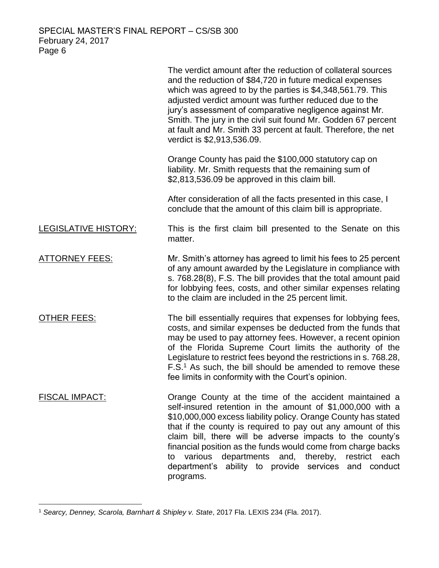|                             | The verdict amount after the reduction of collateral sources<br>and the reduction of \$84,720 in future medical expenses<br>which was agreed to by the parties is \$4,348,561.79. This<br>adjusted verdict amount was further reduced due to the<br>jury's assessment of comparative negligence against Mr.<br>Smith. The jury in the civil suit found Mr. Godden 67 percent<br>at fault and Mr. Smith 33 percent at fault. Therefore, the net<br>verdict is \$2,913,536.09.                                         |
|-----------------------------|----------------------------------------------------------------------------------------------------------------------------------------------------------------------------------------------------------------------------------------------------------------------------------------------------------------------------------------------------------------------------------------------------------------------------------------------------------------------------------------------------------------------|
|                             | Orange County has paid the \$100,000 statutory cap on<br>liability. Mr. Smith requests that the remaining sum of<br>\$2,813,536.09 be approved in this claim bill.                                                                                                                                                                                                                                                                                                                                                   |
|                             | After consideration of all the facts presented in this case, I<br>conclude that the amount of this claim bill is appropriate.                                                                                                                                                                                                                                                                                                                                                                                        |
| <b>LEGISLATIVE HISTORY:</b> | This is the first claim bill presented to the Senate on this<br>matter.                                                                                                                                                                                                                                                                                                                                                                                                                                              |
| <b>ATTORNEY FEES:</b>       | Mr. Smith's attorney has agreed to limit his fees to 25 percent<br>of any amount awarded by the Legislature in compliance with<br>s. 768.28(8), F.S. The bill provides that the total amount paid<br>for lobbying fees, costs, and other similar expenses relating<br>to the claim are included in the 25 percent limit.                                                                                                                                                                                             |
| <u>OTHER FEES:</u>          | The bill essentially requires that expenses for lobbying fees,<br>costs, and similar expenses be deducted from the funds that<br>may be used to pay attorney fees. However, a recent opinion<br>of the Florida Supreme Court limits the authority of the<br>Legislature to restrict fees beyond the restrictions in s. 768.28,<br>F.S. <sup>1</sup> As such, the bill should be amended to remove these<br>fee limits in conformity with the Court's opinion.                                                        |
| <b>FISCAL IMPACT:</b>       | Orange County at the time of the accident maintained a<br>self-insured retention in the amount of \$1,000,000 with a<br>\$10,000,000 excess liability policy. Orange County has stated<br>that if the county is required to pay out any amount of this<br>claim bill, there will be adverse impacts to the county's<br>financial position as the funds would come from charge backs<br>various<br>departments and, thereby, restrict each<br>to<br>department's ability to provide services and conduct<br>programs. |

 $\overline{a}$ <sup>1</sup> *Searcy, Denney, Scarola, Barnhart & Shipley v. State*, 2017 Fla. LEXIS 234 (Fla. 2017).